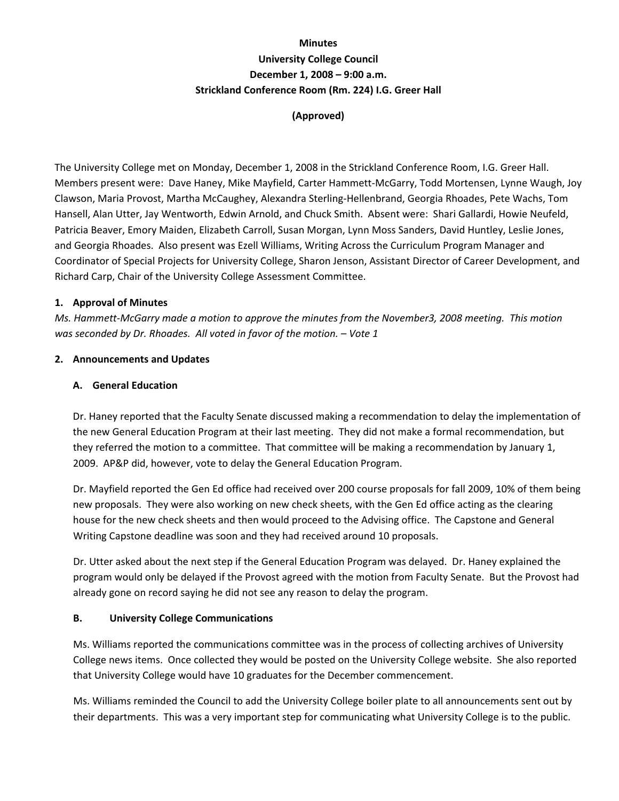# **Minutes University College Council December 1, 2008 – 9:00 a.m. Strickland Conference Room (Rm. 224) I.G. Greer Hall**

# **(Approved)**

The University College met on Monday, December 1, 2008 in the Strickland Conference Room, I.G. Greer Hall. Members present were: Dave Haney, Mike Mayfield, Carter Hammett‐McGarry, Todd Mortensen, Lynne Waugh, Joy Clawson, Maria Provost, Martha McCaughey, Alexandra Sterling‐Hellenbrand, Georgia Rhoades, Pete Wachs, Tom Hansell, Alan Utter, Jay Wentworth, Edwin Arnold, and Chuck Smith. Absent were: Shari Gallardi, Howie Neufeld, Patricia Beaver, Emory Maiden, Elizabeth Carroll, Susan Morgan, Lynn Moss Sanders, David Huntley, Leslie Jones, and Georgia Rhoades. Also present was Ezell Williams, Writing Across the Curriculum Program Manager and Coordinator of Special Projects for University College, Sharon Jenson, Assistant Director of Career Development, and Richard Carp, Chair of the University College Assessment Committee.

### **1. Approval of Minutes**

Ms. Hammett-McGarry made a motion to approve the minutes from the November3, 2008 meeting. This motion *was seconded by Dr. Rhoades. All voted in favor of the motion. – Vote 1*

### **2. Announcements and Updates**

### **A. General Education**

Dr. Haney reported that the Faculty Senate discussed making a recommendation to delay the implementation of the new General Education Program at their last meeting. They did not make a formal recommendation, but they referred the motion to a committee. That committee will be making a recommendation by January 1, 2009. AP&P did, however, vote to delay the General Education Program.

Dr. Mayfield reported the Gen Ed office had received over 200 course proposals for fall 2009, 10% of them being new proposals. They were also working on new check sheets, with the Gen Ed office acting as the clearing house for the new check sheets and then would proceed to the Advising office. The Capstone and General Writing Capstone deadline was soon and they had received around 10 proposals.

Dr. Utter asked about the next step if the General Education Program was delayed. Dr. Haney explained the program would only be delayed if the Provost agreed with the motion from Faculty Senate. But the Provost had already gone on record saying he did not see any reason to delay the program.

#### **B. University College Communications**

Ms. Williams reported the communications committee was in the process of collecting archives of University College news items. Once collected they would be posted on the University College website. She also reported that University College would have 10 graduates for the December commencement.

Ms. Williams reminded the Council to add the University College boiler plate to all announcements sent out by their departments. This was a very important step for communicating what University College is to the public.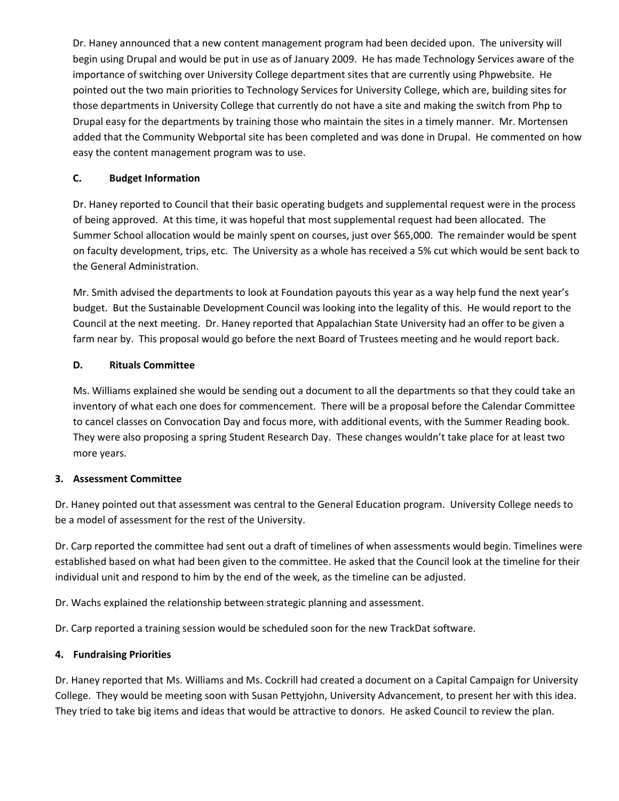Dr. Haney announced that a new content management program had been decided upon. The university will begin using Drupal and would be put in use as of January 2009. He has made Technology Services aware of the importance of switching over University College department sites that are currently using Phpwebsite. He pointed out the two main priorities to Technology Services for University College, which are, building sites for those departments in University College that currently do not have a site and making the switch from Php to Drupal easy for the departments by training those who maintain the sites in a timely manner. Mr. Mortensen added that the Community Webportal site has been completed and was done in Drupal. He commented on how easy the content management program was to use.

## **C. Budget Information**

Dr. Haney reported to Council that their basic operating budgets and supplemental request were in the process of being approved. At this time, it was hopeful that most supplemental request had been allocated. The Summer School allocation would be mainly spent on courses, just over \$65,000. The remainder would be spent on faculty development, trips, etc. The University as a whole has received a 5% cut which would be sent back to the General Administration.

Mr. Smith advised the departments to look at Foundation payouts this year as a way help fund the next year's budget. But the Sustainable Development Council was looking into the legality of this. He would report to the Council at the next meeting. Dr. Haney reported that Appalachian State University had an offer to be given a farm near by. This proposal would go before the next Board of Trustees meeting and he would report back.

# **D. Rituals Committee**

Ms. Williams explained she would be sending out a document to all the departments so that they could take an inventory of what each one does for commencement. There will be a proposal before the Calendar Committee to cancel classes on Convocation Day and focus more, with additional events, with the Summer Reading book. They were also proposing a spring Student Research Day. These changes wouldn't take place for at least two more years.

## **3. Assessment Committee**

Dr. Haney pointed out that assessment was central to the General Education program. University College needs to be a model of assessment for the rest of the University.

Dr. Carp reported the committee had sent out a draft of timelines of when assessments would begin. Timelines were established based on what had been given to the committee. He asked that the Council look at the timeline for their individual unit and respond to him by the end of the week, as the timeline can be adjusted.

Dr. Wachs explained the relationship between strategic planning and assessment.

Dr. Carp reported a training session would be scheduled soon for the new TrackDat software.

# **4. Fundraising Priorities**

Dr. Haney reported that Ms. Williams and Ms. Cockrill had created a document on a Capital Campaign for University College. They would be meeting soon with Susan Pettyjohn, University Advancement, to present her with this idea. They tried to take big items and ideas that would be attractive to donors. He asked Council to review the plan.